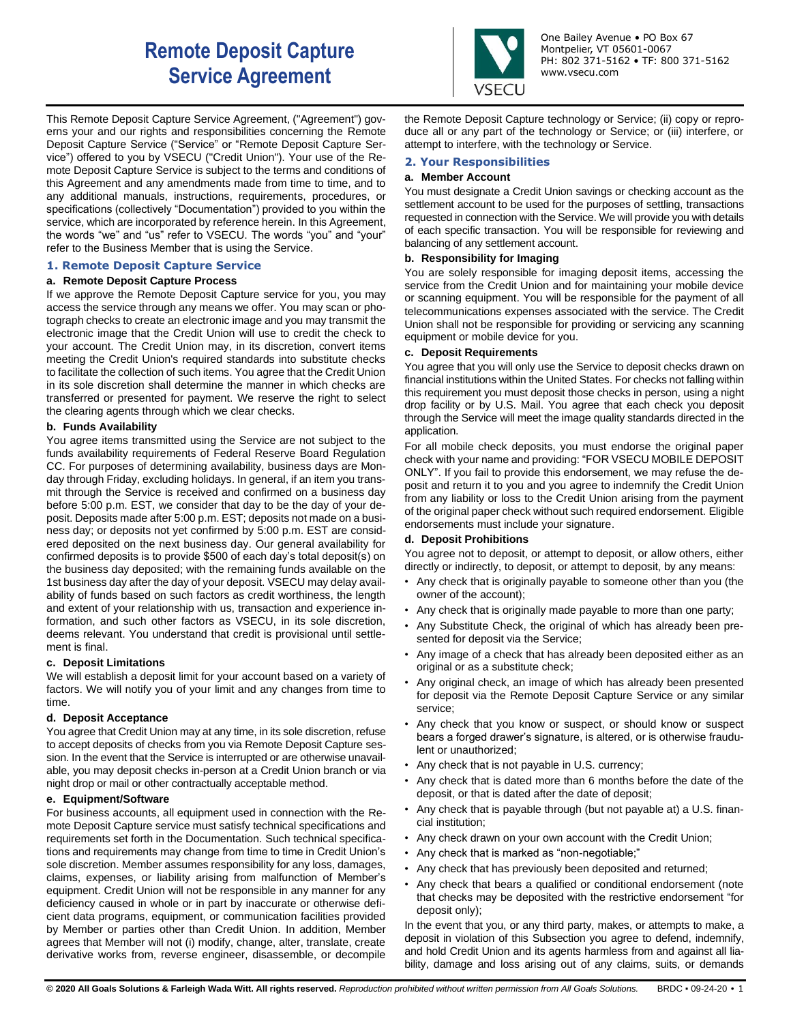# **Remote Deposit Capture Service Agreement**



One Bailey Avenue • PO Box 67 Montpelier, VT 05601-0067 PH: 802 371-5162 • TF: 800 371-5162 www.vsecu.com

This Remote Deposit Capture Service Agreement, ("Agreement") governs your and our rights and responsibilities concerning the Remote Deposit Capture Service ("Service" or "Remote Deposit Capture Service") offered to you by VSECU ("Credit Union"). Your use of the Remote Deposit Capture Service is subject to the terms and conditions of this Agreement and any amendments made from time to time, and to any additional manuals, instructions, requirements, procedures, or specifications (collectively "Documentation") provided to you within the service, which are incorporated by reference herein. In this Agreement, the words "we" and "us" refer to VSECU. The words "you" and "your" refer to the Business Member that is using the Service.

# **1. Remote Deposit Capture Service**

## **a. Remote Deposit Capture Process**

If we approve the Remote Deposit Capture service for you, you may access the service through any means we offer. You may scan or photograph checks to create an electronic image and you may transmit the electronic image that the Credit Union will use to credit the check to your account. The Credit Union may, in its discretion, convert items meeting the Credit Union's required standards into substitute checks to facilitate the collection of such items. You agree that the Credit Union in its sole discretion shall determine the manner in which checks are transferred or presented for payment. We reserve the right to select the clearing agents through which we clear checks.

# **b. Funds Availability**

You agree items transmitted using the Service are not subject to the funds availability requirements of Federal Reserve Board Regulation CC. For purposes of determining availability, business days are Monday through Friday, excluding holidays. In general, if an item you transmit through the Service is received and confirmed on a business day before 5:00 p.m. EST, we consider that day to be the day of your deposit. Deposits made after 5:00 p.m. EST; deposits not made on a business day; or deposits not yet confirmed by 5:00 p.m. EST are considered deposited on the next business day. Our general availability for confirmed deposits is to provide \$500 of each day's total deposit(s) on the business day deposited; with the remaining funds available on the 1st business day after the day of your deposit. VSECU may delay availability of funds based on such factors as credit worthiness, the length and extent of your relationship with us, transaction and experience information, and such other factors as VSECU, in its sole discretion, deems relevant. You understand that credit is provisional until settlement is final.

# **c. Deposit Limitations**

We will establish a deposit limit for your account based on a variety of factors. We will notify you of your limit and any changes from time to time.

## **d. Deposit Acceptance**

You agree that Credit Union may at any time, in its sole discretion, refuse to accept deposits of checks from you via Remote Deposit Capture session. In the event that the Service is interrupted or are otherwise unavailable, you may deposit checks in-person at a Credit Union branch or via night drop or mail or other contractually acceptable method.

## **e. Equipment/Software**

For business accounts, all equipment used in connection with the Remote Deposit Capture service must satisfy technical specifications and requirements set forth in the Documentation. Such technical specifications and requirements may change from time to time in Credit Union's sole discretion. Member assumes responsibility for any loss, damages, claims, expenses, or liability arising from malfunction of Member's equipment. Credit Union will not be responsible in any manner for any deficiency caused in whole or in part by inaccurate or otherwise deficient data programs, equipment, or communication facilities provided by Member or parties other than Credit Union. In addition, Member agrees that Member will not (i) modify, change, alter, translate, create derivative works from, reverse engineer, disassemble, or decompile

the Remote Deposit Capture technology or Service; (ii) copy or reproduce all or any part of the technology or Service; or (iii) interfere, or attempt to interfere, with the technology or Service.

# **2. Your Responsibilities**

# **a. Member Account**

You must designate a Credit Union savings or checking account as the settlement account to be used for the purposes of settling, transactions requested in connection with the Service. We will provide you with details of each specific transaction. You will be responsible for reviewing and balancing of any settlement account.

# **b. Responsibility for Imaging**

You are solely responsible for imaging deposit items, accessing the service from the Credit Union and for maintaining your mobile device or scanning equipment. You will be responsible for the payment of all telecommunications expenses associated with the service. The Credit Union shall not be responsible for providing or servicing any scanning equipment or mobile device for you.

## **c. Deposit Requirements**

You agree that you will only use the Service to deposit checks drawn on financial institutions within the United States. For checks not falling within this requirement you must deposit those checks in person, using a night drop facility or by U.S. Mail. You agree that each check you deposit through the Service will meet the image quality standards directed in the application.

For all mobile check deposits, you must endorse the original paper check with your name and providing: "FOR VSECU MOBILE DEPOSIT ONLY". If you fail to provide this endorsement, we may refuse the deposit and return it to you and you agree to indemnify the Credit Union from any liability or loss to the Credit Union arising from the payment of the original paper check without such required endorsement. Eligible endorsements must include your signature.

## **d. Deposit Prohibitions**

You agree not to deposit, or attempt to deposit, or allow others, either directly or indirectly, to deposit, or attempt to deposit, by any means:

- Any check that is originally payable to someone other than you (the owner of the account);
- Any check that is originally made payable to more than one party;
- Any Substitute Check, the original of which has already been presented for deposit via the Service;
- Any image of a check that has already been deposited either as an original or as a substitute check;
- Any original check, an image of which has already been presented for deposit via the Remote Deposit Capture Service or any similar service;
- Any check that you know or suspect, or should know or suspect bears a forged drawer's signature, is altered, or is otherwise fraudulent or unauthorized;
- Any check that is not payable in U.S. currency;
- Any check that is dated more than 6 months before the date of the deposit, or that is dated after the date of deposit;
- Any check that is payable through (but not payable at) a U.S. financial institution;
- Any check drawn on your own account with the Credit Union;
- Any check that is marked as "non-negotiable;"
- Any check that has previously been deposited and returned;
- Any check that bears a qualified or conditional endorsement (note that checks may be deposited with the restrictive endorsement "for deposit only);

In the event that you, or any third party, makes, or attempts to make, a deposit in violation of this Subsection you agree to defend, indemnify, and hold Credit Union and its agents harmless from and against all liability, damage and loss arising out of any claims, suits, or demands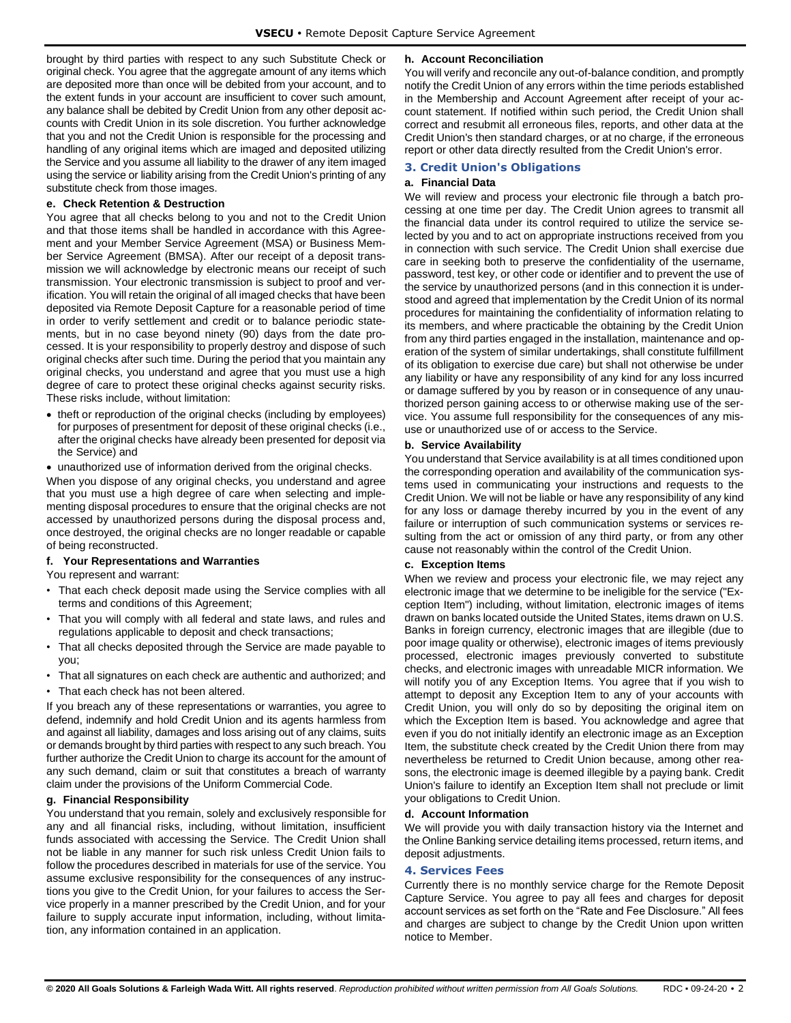brought by third parties with respect to any such Substitute Check or original check. You agree that the aggregate amount of any items which are deposited more than once will be debited from your account, and to the extent funds in your account are insufficient to cover such amount, any balance shall be debited by Credit Union from any other deposit accounts with Credit Union in its sole discretion. You further acknowledge that you and not the Credit Union is responsible for the processing and handling of any original items which are imaged and deposited utilizing the Service and you assume all liability to the drawer of any item imaged using the service or liability arising from the Credit Union's printing of any substitute check from those images.

# **e. Check Retention & Destruction**

You agree that all checks belong to you and not to the Credit Union and that those items shall be handled in accordance with this Agreement and your Member Service Agreement (MSA) or Business Member Service Agreement (BMSA). After our receipt of a deposit transmission we will acknowledge by electronic means our receipt of such transmission. Your electronic transmission is subject to proof and verification. You will retain the original of all imaged checks that have been deposited via Remote Deposit Capture for a reasonable period of time in order to verify settlement and credit or to balance periodic statements, but in no case beyond ninety (90) days from the date processed. It is your responsibility to properly destroy and dispose of such original checks after such time. During the period that you maintain any original checks, you understand and agree that you must use a high degree of care to protect these original checks against security risks. These risks include, without limitation:

- theft or reproduction of the original checks (including by employees) for purposes of presentment for deposit of these original checks (i.e., after the original checks have already been presented for deposit via the Service) and
- unauthorized use of information derived from the original checks.

When you dispose of any original checks, you understand and agree that you must use a high degree of care when selecting and implementing disposal procedures to ensure that the original checks are not accessed by unauthorized persons during the disposal process and, once destroyed, the original checks are no longer readable or capable of being reconstructed.

# **f. Your Representations and Warranties**

You represent and warrant:

- That each check deposit made using the Service complies with all terms and conditions of this Agreement;
- That you will comply with all federal and state laws, and rules and regulations applicable to deposit and check transactions;
- That all checks deposited through the Service are made payable to you;
- That all signatures on each check are authentic and authorized; and
- That each check has not been altered.

If you breach any of these representations or warranties, you agree to defend, indemnify and hold Credit Union and its agents harmless from and against all liability, damages and loss arising out of any claims, suits or demands brought by third parties with respect to any such breach. You further authorize the Credit Union to charge its account for the amount of any such demand, claim or suit that constitutes a breach of warranty claim under the provisions of the Uniform Commercial Code.

# **g. Financial Responsibility**

You understand that you remain, solely and exclusively responsible for any and all financial risks, including, without limitation, insufficient funds associated with accessing the Service. The Credit Union shall not be liable in any manner for such risk unless Credit Union fails to follow the procedures described in materials for use of the service. You assume exclusive responsibility for the consequences of any instructions you give to the Credit Union, for your failures to access the Service properly in a manner prescribed by the Credit Union, and for your failure to supply accurate input information, including, without limitation, any information contained in an application.

# **h. Account Reconciliation**

You will verify and reconcile any out-of-balance condition, and promptly notify the Credit Union of any errors within the time periods established in the Membership and Account Agreement after receipt of your account statement. If notified within such period, the Credit Union shall correct and resubmit all erroneous files, reports, and other data at the Credit Union's then standard charges, or at no charge, if the erroneous report or other data directly resulted from the Credit Union's error.

# **3. Credit Union's Obligations**

# **a. Financial Data**

We will review and process your electronic file through a batch processing at one time per day. The Credit Union agrees to transmit all the financial data under its control required to utilize the service selected by you and to act on appropriate instructions received from you in connection with such service. The Credit Union shall exercise due care in seeking both to preserve the confidentiality of the username, password, test key, or other code or identifier and to prevent the use of the service by unauthorized persons (and in this connection it is understood and agreed that implementation by the Credit Union of its normal procedures for maintaining the confidentiality of information relating to its members, and where practicable the obtaining by the Credit Union from any third parties engaged in the installation, maintenance and operation of the system of similar undertakings, shall constitute fulfillment of its obligation to exercise due care) but shall not otherwise be under any liability or have any responsibility of any kind for any loss incurred or damage suffered by you by reason or in consequence of any unauthorized person gaining access to or otherwise making use of the service. You assume full responsibility for the consequences of any misuse or unauthorized use of or access to the Service.

# **b. Service Availability**

You understand that Service availability is at all times conditioned upon the corresponding operation and availability of the communication systems used in communicating your instructions and requests to the Credit Union. We will not be liable or have any responsibility of any kind for any loss or damage thereby incurred by you in the event of any failure or interruption of such communication systems or services resulting from the act or omission of any third party, or from any other cause not reasonably within the control of the Credit Union.

## **c. Exception Items**

When we review and process your electronic file, we may reject any electronic image that we determine to be ineligible for the service ("Exception Item") including, without limitation, electronic images of items drawn on banks located outside the United States, items drawn on U.S. Banks in foreign currency, electronic images that are illegible (due to poor image quality or otherwise), electronic images of items previously processed, electronic images previously converted to substitute checks, and electronic images with unreadable MICR information. We will notify you of any Exception Items. You agree that if you wish to attempt to deposit any Exception Item to any of your accounts with Credit Union, you will only do so by depositing the original item on which the Exception Item is based. You acknowledge and agree that even if you do not initially identify an electronic image as an Exception Item, the substitute check created by the Credit Union there from may nevertheless be returned to Credit Union because, among other reasons, the electronic image is deemed illegible by a paying bank. Credit Union's failure to identify an Exception Item shall not preclude or limit your obligations to Credit Union.

## **d. Account Information**

We will provide you with daily transaction history via the Internet and the Online Banking service detailing items processed, return items, and deposit adjustments.

## **4. Services Fees**

Currently there is no monthly service charge for the Remote Deposit Capture Service. You agree to pay all fees and charges for deposit account services as set forth on the "Rate and Fee Disclosure." All fees and charges are subject to change by the Credit Union upon written notice to Member.